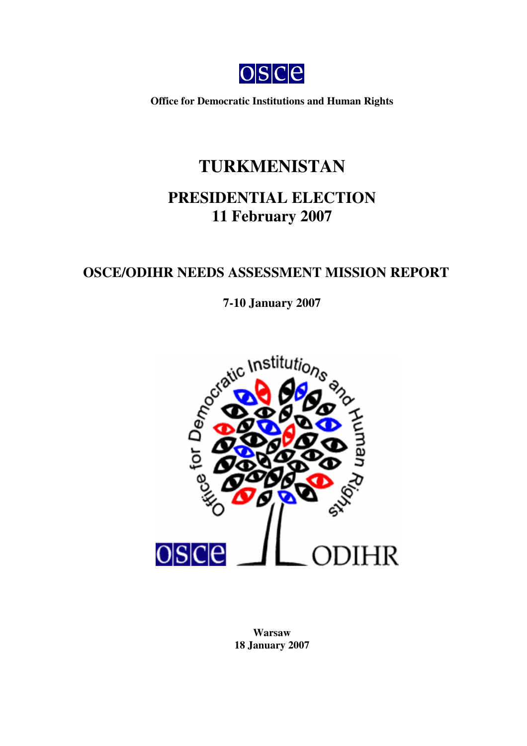

**Office for Democratic Institutions and Human Rights**

# **TURKMENISTAN**

# **PRESIDENTIAL ELECTION 11 February 2007**

## **OSCE/ODIHR NEEDS ASSESSMENT MISSION REPORT**

**7-10 January 2007**



**Warsaw 18 January 2007**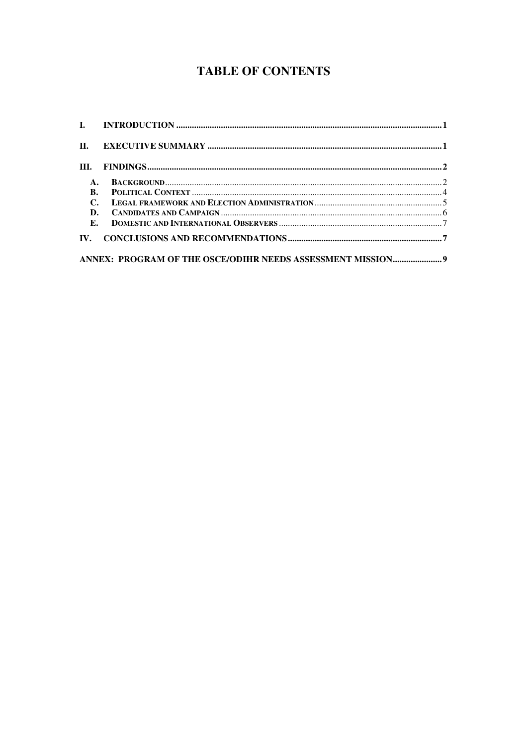## **TABLE OF CONTENTS**

| III.      |  |
|-----------|--|
| A.        |  |
| <b>B.</b> |  |
| C.        |  |
| D.        |  |
| Е.        |  |
|           |  |
|           |  |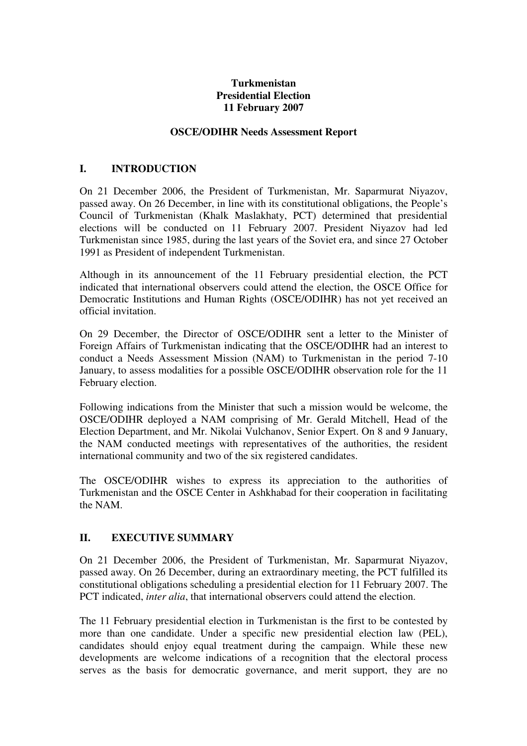#### **Turkmenistan Presidential Election 11 February 2007**

#### **OSCE/ODIHR Needs Assessment Report**

#### **I. INTRODUCTION**

On 21 December 2006, the President of Turkmenistan, Mr. Saparmurat Niyazov, passed away. On 26 December, in line with its constitutional obligations, the People's Council of Turkmenistan (Khalk Maslakhaty, PCT) determined that presidential elections will be conducted on 11 February 2007. President Niyazov had led Turkmenistan since 1985, during the last years of the Soviet era, and since 27 October 1991 as President of independent Turkmenistan.

Although in its announcement of the 11 February presidential election, the PCT indicated that international observers could attend the election, the OSCE Office for Democratic Institutions and Human Rights (OSCE/ODIHR) has not yet received an official invitation.

On 29 December, the Director of OSCE/ODIHR sent a letter to the Minister of Foreign Affairs of Turkmenistan indicating that the OSCE/ODIHR had an interest to conduct a Needs Assessment Mission (NAM) to Turkmenistan in the period 7-10 January, to assess modalities for a possible OSCE/ODIHR observation role for the 11 February election.

Following indications from the Minister that such a mission would be welcome, the OSCE/ODIHR deployed a NAM comprising of Mr. Gerald Mitchell, Head of the Election Department, and Mr. Nikolai Vulchanov, Senior Expert. On 8 and 9 January, the NAM conducted meetings with representatives of the authorities, the resident international community and two of the six registered candidates.

The OSCE/ODIHR wishes to express its appreciation to the authorities of Turkmenistan and the OSCE Center in Ashkhabad for their cooperation in facilitating the NAM.

#### **II. EXECUTIVE SUMMARY**

On 21 December 2006, the President of Turkmenistan, Mr. Saparmurat Niyazov, passed away. On 26 December, during an extraordinary meeting, the PCT fulfilled its constitutional obligations scheduling a presidential election for 11 February 2007. The PCT indicated. *inter alia*, that international observers could attend the election.

The 11 February presidential election in Turkmenistan is the first to be contested by more than one candidate. Under a specific new presidential election law (PEL), candidates should enjoy equal treatment during the campaign. While these new developments are welcome indications of a recognition that the electoral process serves as the basis for democratic governance, and merit support, they are no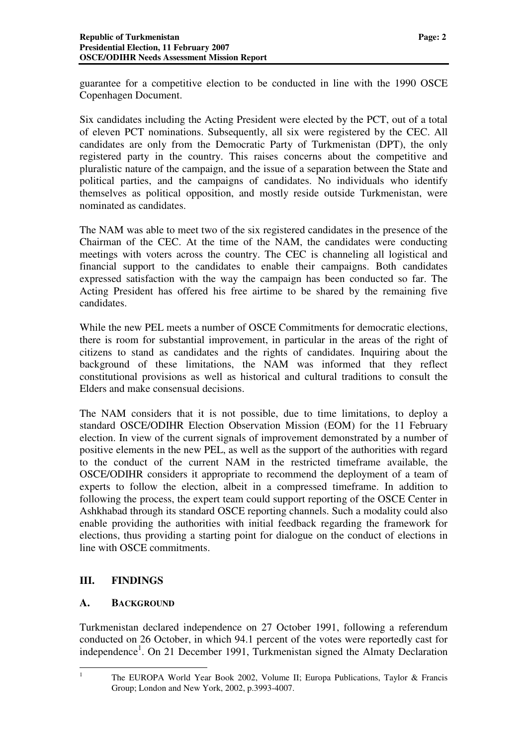guarantee for a competitive election to be conducted in line with the 1990 OSCE Copenhagen Document.

Six candidates including the Acting President were elected by the PCT, out of a total of eleven PCT nominations. Subsequently, all six were registered by the CEC. All candidates are only from the Democratic Party of Turkmenistan (DPT), the only registered party in the country. This raises concerns about the competitive and pluralistic nature of the campaign, and the issue of a separation between the State and political parties, and the campaigns of candidates. No individuals who identify themselves as political opposition, and mostly reside outside Turkmenistan, were nominated as candidates.

The NAM was able to meet two of the six registered candidates in the presence of the Chairman of the CEC. At the time of the NAM, the candidates were conducting meetings with voters across the country. The CEC is channeling all logistical and financial support to the candidates to enable their campaigns. Both candidates expressed satisfaction with the way the campaign has been conducted so far. The Acting President has offered his free airtime to be shared by the remaining five candidates.

While the new PEL meets a number of OSCE Commitments for democratic elections, there is room for substantial improvement, in particular in the areas of the right of citizens to stand as candidates and the rights of candidates. Inquiring about the background of these limitations, the NAM was informed that they reflect constitutional provisions as well as historical and cultural traditions to consult the Elders and make consensual decisions.

The NAM considers that it is not possible, due to time limitations, to deploy a standard OSCE/ODIHR Election Observation Mission (EOM) for the 11 February election. In view of the current signals of improvement demonstrated by a number of positive elements in the new PEL, as well as the support of the authorities with regard to the conduct of the current NAM in the restricted timeframe available, the OSCE/ODIHR considers it appropriate to recommend the deployment of a team of experts to follow the election, albeit in a compressed timeframe. In addition to following the process, the expert team could support reporting of the OSCE Center in Ashkhabad through its standard OSCE reporting channels. Such a modality could also enable providing the authorities with initial feedback regarding the framework for elections, thus providing a starting point for dialogue on the conduct of elections in line with OSCE commitments.

#### **III. FINDINGS**

#### **A. BACKGROUND**

Turkmenistan declared independence on 27 October 1991, following a referendum conducted on 26 October, in which 94.1 percent of the votes were reportedly cast for independence<sup>1</sup>. On 21 December 1991, Turkmenistan signed the Almaty Declaration

<sup>&</sup>lt;sup>1</sup> The EUROPA World Year Book 2002, Volume II; Europa Publications, Taylor & Francis Group; London and New York, 2002, p.3993-4007.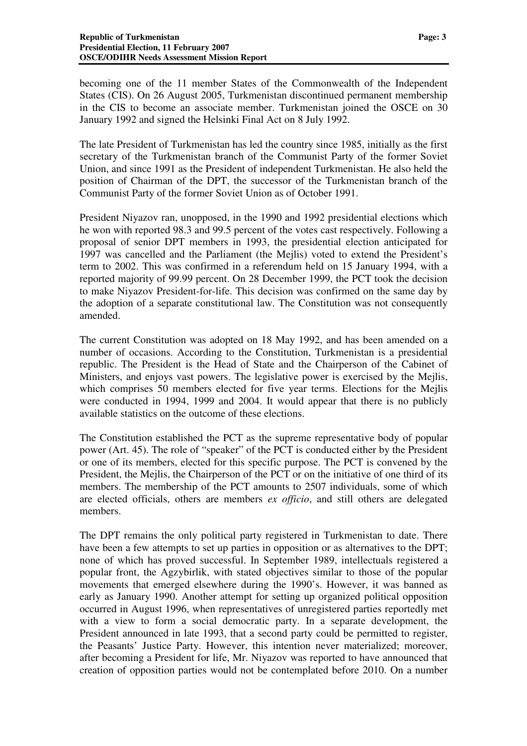becoming one of the 11 member States of the Commonwealth of the Independent States (CIS). On 26 August 2005, Turkmenistan discontinued permanent membership in the CIS to become an associate member. Turkmenistan joined the OSCE on 30 January 1992 and signed the Helsinki Final Act on 8 July 1992.

The late President of Turkmenistan has led the country since 1985, initially as the first secretary of the Turkmenistan branch of the Communist Party of the former Soviet Union, and since 1991 as the President of independent Turkmenistan. He also held the position of Chairman of the DPT, the successor of the Turkmenistan branch of the Communist Party of the former Soviet Union as of October 1991.

President Niyazov ran, unopposed, in the 1990 and 1992 presidential elections which he won with reported 98.3 and 99.5 percent of the votes cast respectively. Following a proposal of senior DPT members in 1993, the presidential election anticipated for 1997 was cancelled and the Parliament (the Mejlis) voted to extend the President's term to 2002. This was confirmed in a referendum held on 15 January 1994, with a reported majority of 99.99 percent. On 28 December 1999, the PCT took the decision to make Niyazov President-for-life. This decision was confirmed on the same day by the adoption of a separate constitutional law. The Constitution was not consequently amended.

The current Constitution was adopted on 18 May 1992, and has been amended on a number of occasions. According to the Constitution, Turkmenistan is a presidential republic. The President is the Head of State and the Chairperson of the Cabinet of Ministers, and enjoys vast powers. The legislative power is exercised by the Mejlis, which comprises 50 members elected for five year terms. Elections for the Mejlis were conducted in 1994, 1999 and 2004. It would appear that there is no publicly available statistics on the outcome of these elections.

The Constitution established the PCT as the supreme representative body of popular power (Art. 45). The role of "speaker" of the PCT is conducted either by the President or one of its members, elected for this specific purpose. The PCT is convened by the President, the Mejlis, the Chairperson of the PCT or on the initiative of one third of its members. The membership of the PCT amounts to 2507 individuals, some of which are elected officials, others are members *ex officio*, and still others are delegated members.

The DPT remains the only political party registered in Turkmenistan to date. There have been a few attempts to set up parties in opposition or as alternatives to the DPT; none of which has proved successful. In September 1989, intellectuals registered a popular front, the Agzybirlik, with stated objectives similar to those of the popular movements that emerged elsewhere during the 1990's. However, it was banned as early as January 1990. Another attempt for setting up organized political opposition occurred in August 1996, when representatives of unregistered parties reportedly met with a view to form a social democratic party. In a separate development, the President announced in late 1993, that a second party could be permitted to register, the Peasants' Justice Party. However, this intention never materialized; moreover, after becoming a President for life, Mr. Niyazov was reported to have announced that creation of opposition parties would not be contemplated before 2010. On a number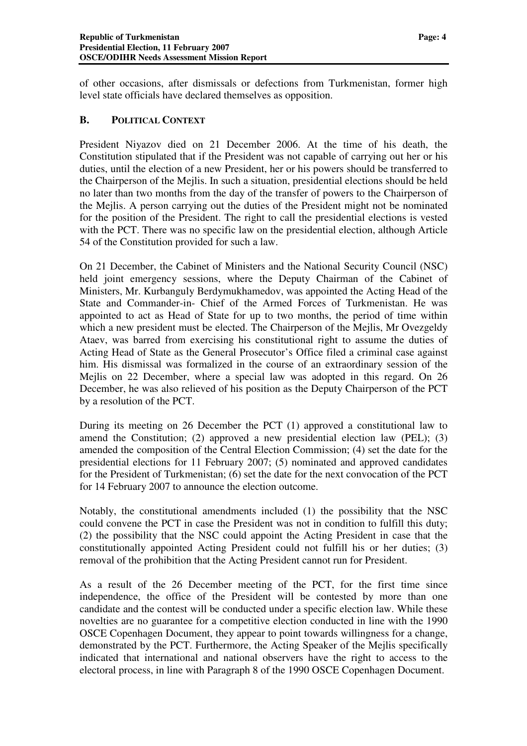of other occasions, after dismissals or defections from Turkmenistan, former high level state officials have declared themselves as opposition.

#### **B. POLITICAL CONTEXT**

President Niyazov died on 21 December 2006. At the time of his death, the Constitution stipulated that if the President was not capable of carrying out her or his duties, until the election of a new President, her or his powers should be transferred to the Chairperson of the Mejlis. In such a situation, presidential elections should be held no later than two months from the day of the transfer of powers to the Chairperson of the Mejlis. A person carrying out the duties of the President might not be nominated for the position of the President. The right to call the presidential elections is vested with the PCT. There was no specific law on the presidential election, although Article 54 of the Constitution provided for such a law.

On 21 December, the Cabinet of Ministers and the National Security Council (NSC) held joint emergency sessions, where the Deputy Chairman of the Cabinet of Ministers, Mr. Kurbanguly Berdymukhamedov, was appointed the Acting Head of the State and Commander-in- Chief of the Armed Forces of Turkmenistan. He was appointed to act as Head of State for up to two months, the period of time within which a new president must be elected. The Chairperson of the Mejlis, Mr Ovezgeldy Ataev, was barred from exercising his constitutional right to assume the duties of Acting Head of State as the General Prosecutor's Office filed a criminal case against him. His dismissal was formalized in the course of an extraordinary session of the Mejlis on 22 December, where a special law was adopted in this regard. On 26 December, he was also relieved of his position as the Deputy Chairperson of the PCT by a resolution of the PCT.

During its meeting on 26 December the PCT (1) approved a constitutional law to amend the Constitution; (2) approved a new presidential election law (PEL); (3) amended the composition of the Central Election Commission; (4) set the date for the presidential elections for 11 February 2007; (5) nominated and approved candidates for the President of Turkmenistan; (6) set the date for the next convocation of the PCT for 14 February 2007 to announce the election outcome.

Notably, the constitutional amendments included (1) the possibility that the NSC could convene the PCT in case the President was not in condition to fulfill this duty; (2) the possibility that the NSC could appoint the Acting President in case that the constitutionally appointed Acting President could not fulfill his or her duties; (3) removal of the prohibition that the Acting President cannot run for President.

As a result of the 26 December meeting of the PCT, for the first time since independence, the office of the President will be contested by more than one candidate and the contest will be conducted under a specific election law. While these novelties are no guarantee for a competitive election conducted in line with the 1990 OSCE Copenhagen Document, they appear to point towards willingness for a change, demonstrated by the PCT. Furthermore, the Acting Speaker of the Mejlis specifically indicated that international and national observers have the right to access to the electoral process, in line with Paragraph 8 of the 1990 OSCE Copenhagen Document.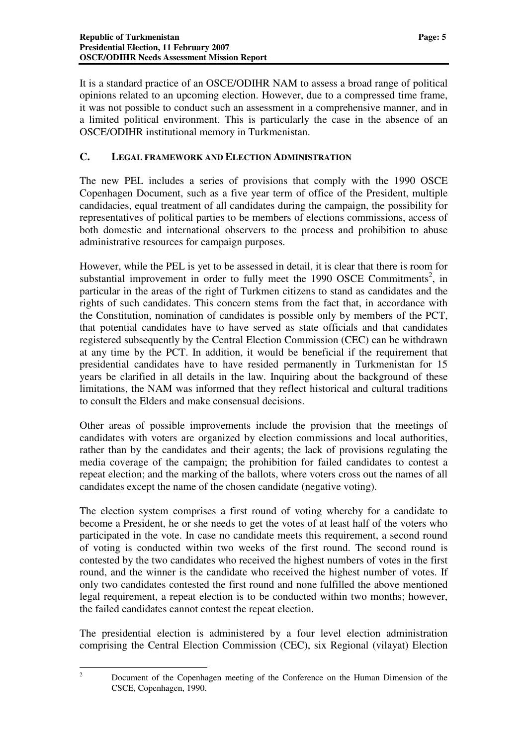It is a standard practice of an OSCE/ODIHR NAM to assess a broad range of political opinions related to an upcoming election. However, due to a compressed time frame, it was not possible to conduct such an assessment in a comprehensive manner, and in a limited political environment. This is particularly the case in the absence of an OSCE/ODIHR institutional memory in Turkmenistan.

#### **C. LEGAL FRAMEWORK AND ELECTION ADMINISTRATION**

The new PEL includes a series of provisions that comply with the 1990 OSCE Copenhagen Document, such as a five year term of office of the President, multiple candidacies, equal treatment of all candidates during the campaign, the possibility for representatives of political parties to be members of elections commissions, access of both domestic and international observers to the process and prohibition to abuse administrative resources for campaign purposes.

However, while the PEL is yet to be assessed in detail, it is clear that there is room for substantial improvement in order to fully meet the 1990 OSCE Commitments<sup>2</sup>, in particular in the areas of the right of Turkmen citizens to stand as candidates and the rights of such candidates. This concern stems from the fact that, in accordance with the Constitution, nomination of candidates is possible only by members of the PCT, that potential candidates have to have served as state officials and that candidates registered subsequently by the Central Election Commission (CEC) can be withdrawn at any time by the PCT. In addition, it would be beneficial if the requirement that presidential candidates have to have resided permanently in Turkmenistan for 15 years be clarified in all details in the law. Inquiring about the background of these limitations, the NAM was informed that they reflect historical and cultural traditions to consult the Elders and make consensual decisions.

Other areas of possible improvements include the provision that the meetings of candidates with voters are organized by election commissions and local authorities, rather than by the candidates and their agents; the lack of provisions regulating the media coverage of the campaign; the prohibition for failed candidates to contest a repeat election; and the marking of the ballots, where voters cross out the names of all candidates except the name of the chosen candidate (negative voting).

The election system comprises a first round of voting whereby for a candidate to become a President, he or she needs to get the votes of at least half of the voters who participated in the vote. In case no candidate meets this requirement, a second round of voting is conducted within two weeks of the first round. The second round is contested by the two candidates who received the highest numbers of votes in the first round, and the winner is the candidate who received the highest number of votes. If only two candidates contested the first round and none fulfilled the above mentioned legal requirement, a repeat election is to be conducted within two months; however, the failed candidates cannot contest the repeat election.

The presidential election is administered by a four level election administration comprising the Central Election Commission (CEC), six Regional (vilayat) Election

<sup>&</sup>lt;sup>2</sup> Document of the Copenhagen meeting of the Conference on the Human Dimension of the CSCE, Copenhagen, 1990.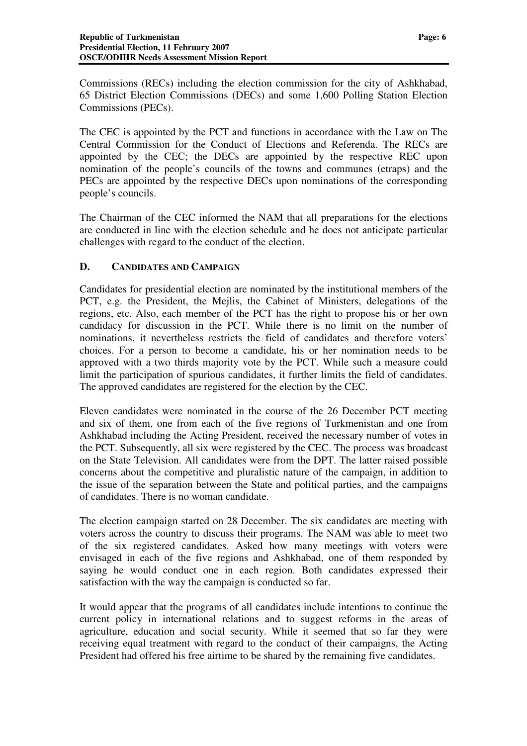Commissions (RECs) including the election commission for the city of Ashkhabad, 65 District Election Commissions (DECs) and some 1,600 Polling Station Election Commissions (PECs).

The CEC is appointed by the PCT and functions in accordance with the Law on The Central Commission for the Conduct of Elections and Referenda. The RECs are appointed by the CEC; the DECs are appointed by the respective REC upon nomination of the people's councils of the towns and communes (etraps) and the PECs are appointed by the respective DECs upon nominations of the corresponding people's councils.

The Chairman of the CEC informed the NAM that all preparations for the elections are conducted in line with the election schedule and he does not anticipate particular challenges with regard to the conduct of the election.

#### **D. CANDIDATES AND CAMPAIGN**

Candidates for presidential election are nominated by the institutional members of the PCT, e.g. the President, the Mejlis, the Cabinet of Ministers, delegations of the regions, etc. Also, each member of the PCT has the right to propose his or her own candidacy for discussion in the PCT. While there is no limit on the number of nominations, it nevertheless restricts the field of candidates and therefore voters' choices. For a person to become a candidate, his or her nomination needs to be approved with a two thirds majority vote by the PCT. While such a measure could limit the participation of spurious candidates, it further limits the field of candidates. The approved candidates are registered for the election by the CEC.

Eleven candidates were nominated in the course of the 26 December PCT meeting and six of them, one from each of the five regions of Turkmenistan and one from Ashkhabad including the Acting President, received the necessary number of votes in the PCT. Subsequently, all six were registered by the CEC. The process was broadcast on the State Television. All candidates were from the DPT. The latter raised possible concerns about the competitive and pluralistic nature of the campaign, in addition to the issue of the separation between the State and political parties, and the campaigns of candidates. There is no woman candidate.

The election campaign started on 28 December. The six candidates are meeting with voters across the country to discuss their programs. The NAM was able to meet two of the six registered candidates. Asked how many meetings with voters were envisaged in each of the five regions and Ashkhabad, one of them responded by saying he would conduct one in each region. Both candidates expressed their satisfaction with the way the campaign is conducted so far.

It would appear that the programs of all candidates include intentions to continue the current policy in international relations and to suggest reforms in the areas of agriculture, education and social security. While it seemed that so far they were receiving equal treatment with regard to the conduct of their campaigns, the Acting President had offered his free airtime to be shared by the remaining five candidates.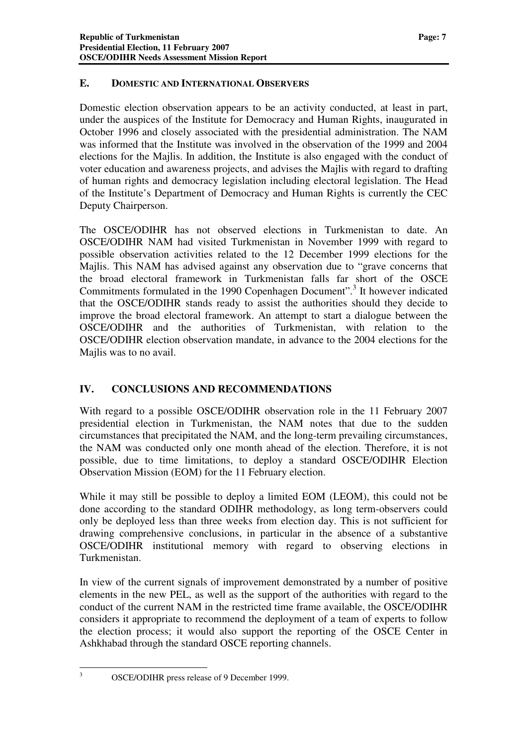#### **E. DOMESTIC AND INTERNATIONAL OBSERVERS**

Domestic election observation appears to be an activity conducted, at least in part, under the auspices of the Institute for Democracy and Human Rights, inaugurated in October 1996 and closely associated with the presidential administration. The NAM was informed that the Institute was involved in the observation of the 1999 and 2004 elections for the Majlis. In addition, the Institute is also engaged with the conduct of voter education and awareness projects, and advises the Majlis with regard to drafting of human rights and democracy legislation including electoral legislation. The Head of the Institute's Department of Democracy and Human Rights is currently the CEC Deputy Chairperson.

The OSCE/ODIHR has not observed elections in Turkmenistan to date. An OSCE/ODIHR NAM had visited Turkmenistan in November 1999 with regard to possible observation activities related to the 12 December 1999 elections for the Majlis. This NAM has advised against any observation due to "grave concerns that the broad electoral framework in Turkmenistan falls far short of the OSCE Commitments formulated in the 1990 Copenhagen Document".<sup>3</sup> It however indicated that the OSCE/ODIHR stands ready to assist the authorities should they decide to improve the broad electoral framework. An attempt to start a dialogue between the OSCE/ODIHR and the authorities of Turkmenistan, with relation to the OSCE/ODIHR election observation mandate, in advance to the 2004 elections for the Majlis was to no avail.

#### **IV. CONCLUSIONS AND RECOMMENDATIONS**

With regard to a possible OSCE/ODIHR observation role in the 11 February 2007 presidential election in Turkmenistan, the NAM notes that due to the sudden circumstances that precipitated the NAM, and the long-term prevailing circumstances, the NAM was conducted only one month ahead of the election. Therefore, it is not possible, due to time limitations, to deploy a standard OSCE/ODIHR Election Observation Mission (EOM) for the 11 February election.

While it may still be possible to deploy a limited EOM (LEOM), this could not be done according to the standard ODIHR methodology, as long term-observers could only be deployed less than three weeks from election day. This is not sufficient for drawing comprehensive conclusions, in particular in the absence of a substantive OSCE/ODIHR institutional memory with regard to observing elections in Turkmenistan.

In view of the current signals of improvement demonstrated by a number of positive elements in the new PEL, as well as the support of the authorities with regard to the conduct of the current NAM in the restricted time frame available, the OSCE/ODIHR considers it appropriate to recommend the deployment of a team of experts to follow the election process; it would also support the reporting of the OSCE Center in Ashkhabad through the standard OSCE reporting channels.

<sup>&</sup>lt;sup>3</sup> OSCE/ODIHR press release of 9 December 1999.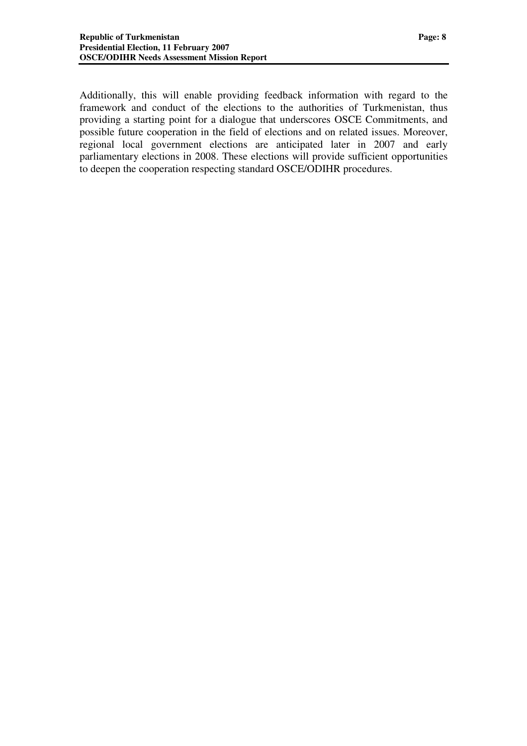Additionally, this will enable providing feedback information with regard to the framework and conduct of the elections to the authorities of Turkmenistan, thus providing a starting point for a dialogue that underscores OSCE Commitments, and possible future cooperation in the field of elections and on related issues. Moreover, regional local government elections are anticipated later in 2007 and early parliamentary elections in 2008. These elections will provide sufficient opportunities to deepen the cooperation respecting standard OSCE/ODIHR procedures.